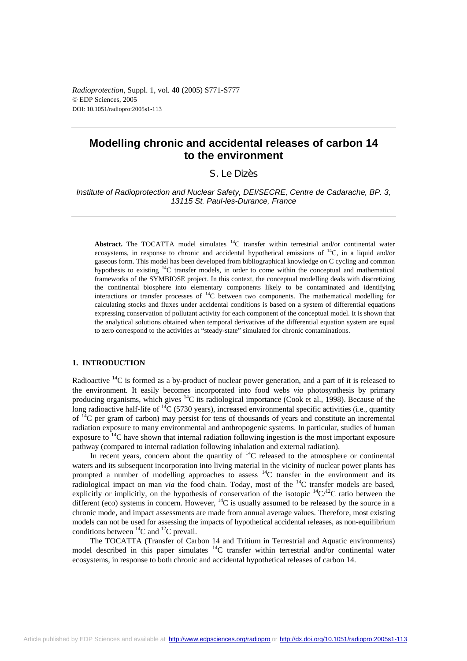*Radioprotection*, Suppl. 1, vol*.* **40** (2005) S771-S777 © EDP Sciences, 2005 DOI: 10.1051/radiopro:2005s1-113

# **Modelling chronic and accidental releases of carbon 14 to the environment**

# S. Le Dizès

*Institute of Radioprotection and Nuclear Safety, DEI/SECRE, Centre de Cadarache, BP. 3, 13115 St. Paul-les-Durance, France* 

Abstract. The TOCATTA model simulates <sup>14</sup>C transfer within terrestrial and/or continental water ecosystems, in response to chronic and accidental hypothetical emissions of 14C, in a liquid and/or gaseous form. This model has been developed from bibliographical knowledge on C cycling and common hypothesis to existing 14C transfer models, in order to come within the conceptual and mathematical frameworks of the SYMBIOSE project. In this context, the conceptual modelling deals with discretizing the continental biosphere into elementary components likely to be contaminated and identifying interactions or transfer processes of 14C between two components. The mathematical modelling for calculating stocks and fluxes under accidental conditions is based on a system of differential equations expressing conservation of pollutant activity for each component of the conceptual model. It is shown that the analytical solutions obtained when temporal derivatives of the differential equation system are equal to zero correspond to the activities at "steady-state" simulated for chronic contaminations.

# **1. INTRODUCTION**

Radioactive <sup>14</sup>C is formed as a by-product of nuclear power generation, and a part of it is released to the environment. It easily becomes incorporated into food webs *via* photosynthesis by primary producing organisms, which gives <sup>14</sup>C its radiological importance (Cook et al., 1998). Because of the long radioactive half-life of  $^{14}C$  (5730 years), increased environmental specific activities (i.e., quantity of <sup>14</sup>C per gram of carbon) may persist for tens of thousands of years and constitute an incremental radiation exposure to many environmental and anthropogenic systems. In particular, studies of human exposure to  $14$ C have shown that internal radiation following ingestion is the most important exposure pathway (compared to internal radiation following inhalation and external radiation).

In recent years, concern about the quantity of  $^{14}$ C released to the atmosphere or continental waters and its subsequent incorporation into living material in the vicinity of nuclear power plants has prompted a number of modelling approaches to assess <sup>14</sup>C transfer in the environment and its radiological impact on man *via* the food chain. Today, most of the <sup>14</sup>C transfer models are based, explicitly or implicitly, on the hypothesis of conservation of the isotopic  ${}^{14}C/{}^{12}C$  ratio between the different (eco) systems in concern. However,  ${}^{14}C$  is usually assumed to be released by the source in a chronic mode, and impact assessments are made from annual average values. Therefore, most existing models can not be used for assessing the impacts of hypothetical accidental releases, as non-equilibrium conditions between  ${}^{14}C$  and  ${}^{12}C$  prevail.

The TOCATTA (Transfer of Carbon 14 and Tritium in Terrestrial and Aquatic environments) model described in this paper simulates <sup>14</sup>C transfer within terrestrial and/or continental water ecosystems, in response to both chronic and accidental hypothetical releases of carbon 14.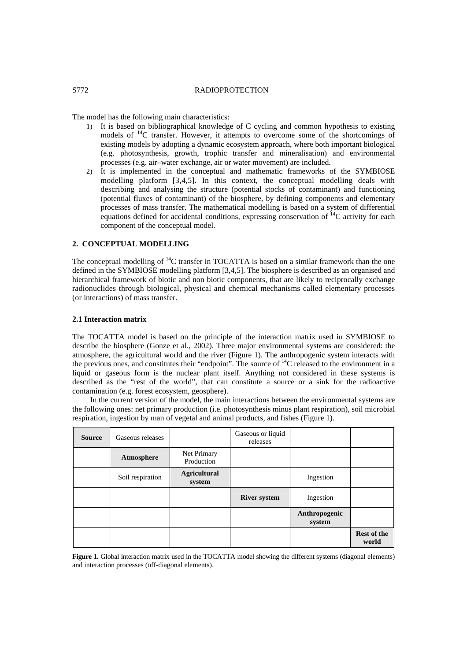## S772 RADIOPROTECTION

The model has the following main characteristics:

- 1) It is based on bibliographical knowledge of C cycling and common hypothesis to existing models of 14C transfer. However, it attempts to overcome some of the shortcomings of existing models by adopting a dynamic ecosystem approach, where both important biological (e.g. photosynthesis, growth, trophic transfer and mineralisation) and environmental processes (e.g. air–water exchange, air or water movement) are included.
- 2) It is implemented in the conceptual and mathematic frameworks of the SYMBIOSE modelling platform [3,4,5]. In this context, the conceptual modelling deals with describing and analysing the structure (potential stocks of contaminant) and functioning (potential fluxes of contaminant) of the biosphere, by defining components and elementary processes of mass transfer. The mathematical modelling is based on a system of differential equations defined for accidental conditions, expressing conservation of  ${}^{14}C$  activity for each component of the conceptual model.

# **2. CONCEPTUAL MODELLING**

The conceptual modelling of <sup>14</sup>C transfer in TOCATTA is based on a similar framework than the one defined in the SYMBIOSE modelling platform [3,4,5]. The biosphere is described as an organised and hierarchical framework of biotic and non biotic components, that are likely to reciprocally exchange radionuclides through biological, physical and chemical mechanisms called elementary processes (or interactions) of mass transfer.

#### **2.1 Interaction matrix**

The TOCATTA model is based on the principle of the interaction matrix used in SYMBIOSE to describe the biosphere (Gonze et al., 2002). Three major environmental systems are considered: the atmosphere, the agricultural world and the river (Figure 1). The anthropogenic system interacts with the previous ones, and constitutes their "endpoint". The source of 14C released to the environment in a liquid or gaseous form is the nuclear plant itself. Anything not considered in these systems is described as the "rest of the world", that can constitute a source or a sink for the radioactive contamination (e.g. forest ecosystem, geosphere).

In the current version of the model, the main interactions between the environmental systems are the following ones: net primary production (i.e. photosynthesis minus plant respiration), soil microbial respiration, ingestion by man of vegetal and animal products, and fishes (Figure 1).

| <b>Source</b> | Gaseous releases |                               | Gaseous or liquid<br>releases |                         |                             |
|---------------|------------------|-------------------------------|-------------------------------|-------------------------|-----------------------------|
|               | Atmosphere       | Net Primary<br>Production     |                               |                         |                             |
|               | Soil respiration | <b>Agricultural</b><br>system |                               | Ingestion               |                             |
|               |                  |                               | <b>River system</b>           | Ingestion               |                             |
|               |                  |                               |                               | Anthropogenic<br>system |                             |
|               |                  |                               |                               |                         | <b>Rest of the</b><br>world |

**Figure 1.** Global interaction matrix used in the TOCATTA model showing the different systems (diagonal elements) and interaction processes (off-diagonal elements).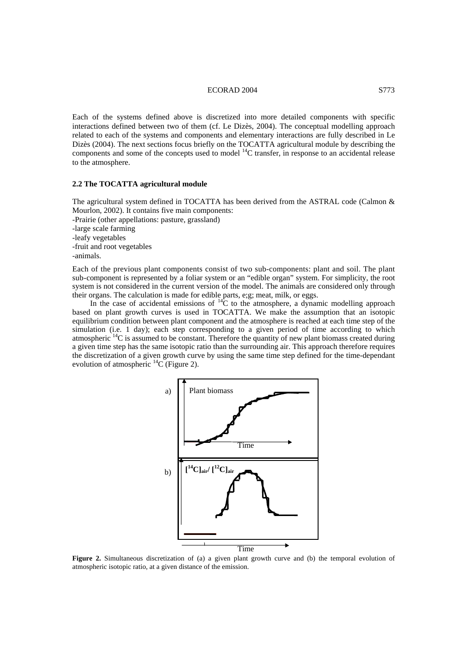#### ECORAD 2004 S773

Each of the systems defined above is discretized into more detailed components with specific interactions defined between two of them (cf. Le Dizès, 2004). The conceptual modelling approach related to each of the systems and components and elementary interactions are fully described in Le Dizès (2004). The next sections focus briefly on the TOCATTA agricultural module by describing the components and some of the concepts used to model 14C transfer, in response to an accidental release to the atmosphere.

# **2.2 The TOCATTA agricultural module**

The agricultural system defined in TOCATTA has been derived from the ASTRAL code (Calmon & Mourlon, 2002). It contains five main components:

-Prairie (other appellations: pasture, grassland)

-large scale farming

-leafy vegetables

-fruit and root vegetables

-animals.

Each of the previous plant components consist of two sub-components: plant and soil. The plant sub-component is represented by a foliar system or an "edible organ" system. For simplicity, the root system is not considered in the current version of the model. The animals are considered only through their organs. The calculation is made for edible parts, e;g; meat, milk, or eggs.

In the case of accidental emissions of  $^{14}C$  to the atmosphere, a dynamic modelling approach based on plant growth curves is used in TOCATTA. We make the assumption that an isotopic equilibrium condition between plant component and the atmosphere is reached at each time step of the simulation (i.e. 1 day); each step corresponding to a given period of time according to which atmospheric  $^{14}C$  is assumed to be constant. Therefore the quantity of new plant biomass created during a given time step has the same isotopic ratio than the surrounding air. This approach therefore requires the discretization of a given growth curve by using the same time step defined for the time-dependant evolution of atmospheric  ${}^{14}C$  (Figure 2).



**Figure 2.** Simultaneous discretization of (a) a given plant growth curve and (b) the temporal evolution of atmospheric isotopic ratio, at a given distance of the emission.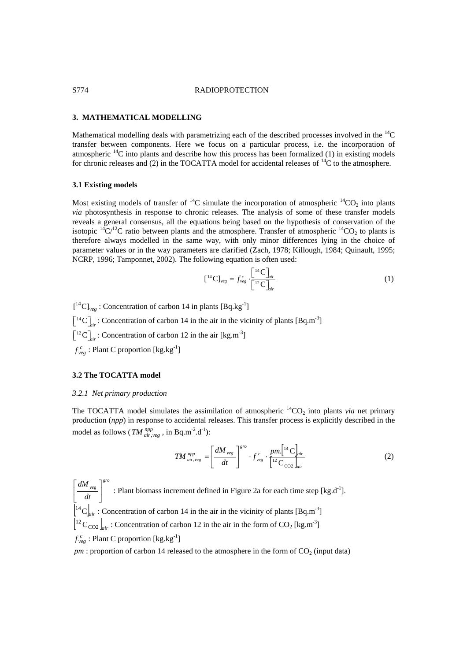#### S774 RADIOPROTECTION

# **3. MATHEMATICAL MODELLING**

Mathematical modelling deals with parametrizing each of the described processes involved in the  ${}^{14}C$ transfer between components. Here we focus on a particular process, i.e. the incorporation of atmospheric  $^{14}$ C into plants and describe how this process has been formalized (1) in existing models for chronic releases and (2) in the TOCATTA model for accidental releases of  $^{14}C$  to the atmosphere.

## **3.1 Existing models**

Most existing models of transfer of  ${}^{14}C$  simulate the incorporation of atmospheric  ${}^{14}CO_2$  into plants *via* photosynthesis in response to chronic releases. The analysis of some of these transfer models reveals a general consensus, all the equations being based on the hypothesis of conservation of the isotopic  ${}^{14}C/{}^{12}C$  ratio between plants and the atmosphere. Transfer of atmospheric  ${}^{14}CO_2$  to plants is therefore always modelled in the same way, with only minor differences lying in the choice of parameter values or in the way parameters are clarified (Zach, 1978; Killough, 1984; Quinault, 1995; NCRP, 1996; Tamponnet, 2002). The following equation is often used:

$$
\left[\begin{smallmatrix}14\end{smallmatrix}\mathbf{C}\right]_{\text{veg}} = f_{\text{veg}}^c \cdot \frac{\left[\begin{smallmatrix}14\end{smallmatrix}\mathbf{C}\right]_{\text{air}}}{\left[\begin{smallmatrix}12\end{smallmatrix}\mathbf{C}\right]_{\text{air}}} \tag{1}
$$

 $\left[ {}^{14}C_{\text{J}_{\text{V}ee}} : \text{Concentration of carbon 14 in plants } \left[ \text{Bq} \cdot \text{kg} \right] \right]$ 

 $\lceil {}^{14}C \rceil$  : Concentration of carbon 14 in the air in the vicinity of plants  $\lceil \text{Bq.m}^{-3} \rceil$ 

 $\lceil$ <sup>12</sup>C $\rceil_a$  : Concentration of carbon 12 in the air [kg.m<sup>-3</sup>]

 $f_{veg}^c$ : Plant C proportion [kg.kg<sup>-1</sup>]

# **3.2 The TOCATTA model**

#### *3.2.1 Net primary production*

The TOCATTA model simulates the assimilation of atmospheric  ${}^{14}CO_2$  into plants *via* net primary production (*npp*) in response to accidental releases. This transfer process is explicitly described in the model as follows ( $TM_{air,veg}^{npp}$ , in Bq.m<sup>-2</sup>.d<sup>-1</sup>):

$$
TM_{air,veg}^{npp} = \left[\frac{dM_{veg}}{dt}\right]^{gro} \cdot f_{veg}^c \cdot \frac{pm\left[14\,\mathrm{C}\right]_{air}}{12\,\mathrm{C}_{CO2}\left]_{air}}\tag{2}
$$

*gro veg dt dM*  $\overline{\phantom{a}}$ ⎦  $\left|\frac{dM_{\text{veg}}}{L}\right|$ ⎣  $\left| \frac{dM_{\text{v}eg}}{dM_{\text{v}eg}} \right|^{870}$  : Plant biomass increment defined in Figure 2a for each time step [kg.d<sup>-1</sup>].  $\left[ {}^{14}C_{{\text{air}}} \right]$ : Concentration of carbon 14 in the air in the vicinity of plants [Bq.m<sup>-3</sup>]  $\left[{}^{12}C_{CO2}\right]_{air}$ : Concentration of carbon 12 in the air in the form of CO<sub>2</sub> [kg.m<sup>-3</sup>]  $f_{veg}^c$ : Plant C proportion [kg.kg<sup>-1</sup>]  $pm$ : proportion of carbon 14 released to the atmosphere in the form of  $CO<sub>2</sub>$  (input data)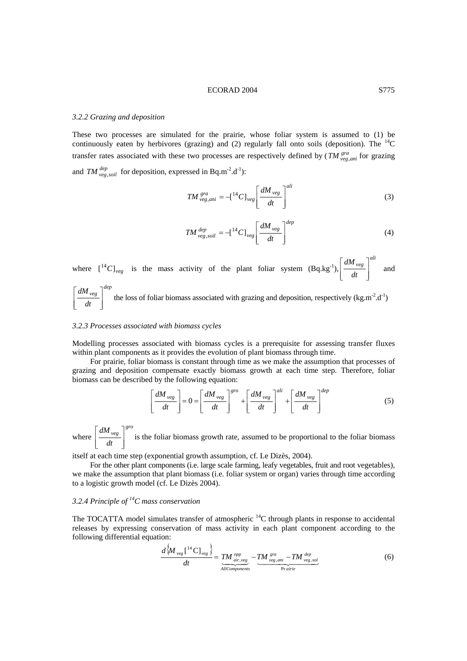#### ECORAD 2004 S775

#### *3.2.2 Grazing and deposition*

These two processes are simulated for the prairie, whose foliar system is assumed to (1) be continuously eaten by herbivores (grazing) and (2) regularly fall onto soils (deposition). The  $^{14}$ C transfer rates associated with these two processes are respectively defined by  $(TM_{veg,ani}^{gra}$  for grazing and *TM*  $_{veg, soil}^{dep}$  for deposition, expressed in Bq.m<sup>-2</sup>.d<sup>-1</sup>):

$$
TM_{\text{veg,ani}}^{\text{gra}} = -\left[\begin{array}{c}^{14}C\end{array}\right]_{\text{veg}} \left[\frac{dM_{\text{veg}}}{dt}\right]^{ali} \tag{3}
$$

$$
TM_{\text{veg},\text{soil}}^{\text{dep}} = -\left[\begin{array}{c} 14C \end{array}\right]_{\text{veg}} \left[\begin{array}{c} dM_{\text{veg}} \\ dt \end{array}\right]^{\text{dep}} \tag{4}
$$

where  $\lbrack {}^{14}C\rbrack_{\text{veg}}$  is the mass activity of the plant foliar system (Bq.kg<sup>-1</sup>), *ali veg dt dM* ⎥ ⎥ ⎦ ⎤  $\parallel$ ⎣ and

$$
\left[\frac{dM_{\text{veg}}}{dt}\right]^{dep}
$$
 the loss of foliar biomass associated with grazing and deposition, respectively (kg.m<sup>-2</sup>.d<sup>-1</sup>)

#### *3.2.3 Processes associated with biomass cycles*

Modelling processes associated with biomass cycles is a prerequisite for assessing transfer fluxes within plant components as it provides the evolution of plant biomass through time.

For prairie, foliar biomass is constant through time as we make the assumption that processes of grazing and deposition compensate exactly biomass growth at each time step. Therefore, foliar biomass can be described by the following equation:

$$
\left[\frac{dM_{\text{veg}}}{dt}\right] = 0 = \left[\frac{dM_{\text{veg}}}{dt}\right]^{gro} + \left[\frac{dM_{\text{veg}}}{dt}\right]^{ali} + \left[\frac{dM_{\text{veg}}}{dt}\right]^{dep}
$$
(5)

where *gro veg dt dM*  $\overline{\phantom{a}}$ ⎦ ⎤  $\blacksquare$ ⎣  $\mathsf{L}$ is the foliar biomass growth rate, assumed to be proportional to the foliar biomass

itself at each time step (exponential growth assumption, cf. Le Dizès, 2004).

For the other plant components (i.e. large scale farming, leafy vegetables, fruit and root vegetables), we make the assumption that plant biomass (i.e. foliar system or organ) varies through time according to a logistic growth model (cf. Le Dizès 2004).

# *3.2.4 Principle of 14C mass conservation*

The TOCATTA model simulates transfer of atmospheric <sup>14</sup>C through plants in response to accidental releases by expressing conservation of mass activity in each plant component according to the following differential equation:

$$
\frac{d\left\{M_{\text{veg}}\left[^{14}\text{C}\right]_{\text{veg}}\right\}}{dt} = \frac{TM_{\text{air},\text{veg}}^{npp}}{AM_{\text{conponents}}} - \frac{TM_{\text{veg},\text{ani}}^{gra} - TM_{\text{veg},\text{sol}}^{dep}}{\text{Pr}\text{airie}}
$$
(6)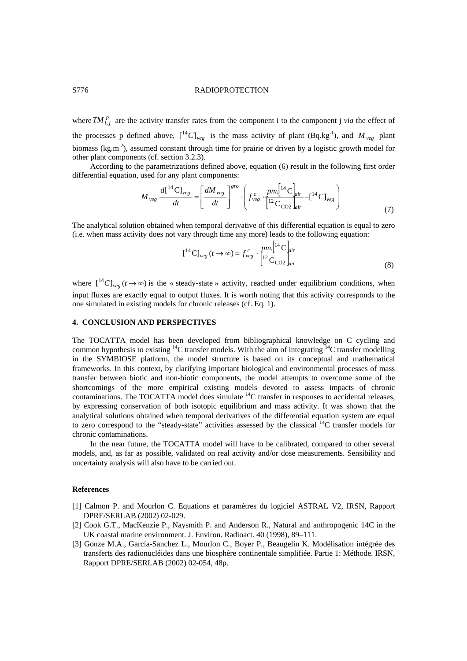## S776 RADIOPROTECTION

where  $TM_{i,i}^p$  are the activity transfer rates from the component i to the component j *via* the effect of the processes p defined above,  $\binom{14}{\text{e}}$  is the mass activity of plant (Bq.kg<sup>-1</sup>), and  $M_{\text{veg}}$  plant biomass (kg.m<sup>-2</sup>), assumed constant through time for prairie or driven by a logistic growth model for other plant components (cf. section 3.2.3).

According to the parametrizations defined above, equation (6) result in the following first order differential equation, used for any plant components:

$$
M_{\text{veg}} \frac{d\left[1^{14} \text{C}\right]_{\text{veg}}}{dt} = \left[\frac{dM_{\text{veg}}}{dt}\right]^{gro} \cdot \left(f_{\text{veg}}^{c} \cdot \frac{pm\left[1^{4} \text{C}\right]_{air}}{1^{2} \text{C}_{\text{CO2}}}\right]_{air}^{-1^{4} \text{C}}\right]_{\text{veg}} \tag{7}
$$

The analytical solution obtained when temporal derivative of this differential equation is equal to zero (i.e. when mass activity does not vary through time any more) leads to the following equation:

$$
[{}^{14}C]_{veg} (t \to \infty) = f_{veg}^c \cdot \frac{pm.|{}^{14}C|_{air}}{[{}^{12}C_{CO2}]_{air}} \tag{8}
$$

where  $\binom{14}{\text{e}}_{\text{ve}}(t \to \infty)$  is the « steady-state » activity, reached under equilibrium conditions, when input fluxes are exactly equal to output fluxes. It is worth noting that this activity corresponds to the one simulated in existing models for chronic releases (cf. Eq. 1).

# **4. CONCLUSION AND PERSPECTIVES**

The TOCATTA model has been developed from bibliographical knowledge on C cycling and common hypothesis to existing  ${}^{14}C$  transfer models. With the aim of integrating  ${}^{14}C$  transfer modelling in the SYMBIOSE platform, the model structure is based on its conceptual and mathematical frameworks. In this context, by clarifying important biological and environmental processes of mass transfer between biotic and non-biotic components, the model attempts to overcome some of the shortcomings of the more empirical existing models devoted to assess impacts of chronic contaminations. The TOCATTA model does simulate <sup>14</sup>C transfer in responses to accidental releases, by expressing conservation of both isotopic equilibrium and mass activity. It was shown that the analytical solutions obtained when temporal derivatives of the differential equation system are equal to zero correspond to the "steady-state" activities assessed by the classical  $^{14}$ C transfer models for chronic contaminations.

In the near future, the TOCATTA model will have to be calibrated, compared to other several models, and, as far as possible, validated on real activity and/or dose measurements. Sensibility and uncertainty analysis will also have to be carried out.

#### **References**

- [1] Calmon P. and Mourlon C. Equations et paramètres du logiciel ASTRAL V2, IRSN, Rapport DPRE/SERLAB (2002) 02-029.
- [2] Cook G.T., MacKenzie P., Naysmith P. and Anderson R., Natural and anthropogenic 14C in the UK coastal marine environment. J. Environ. Radioact. 40 (1998), 89–111.
- [3] Gonze M.A., Garcia-Sanchez L., Mourlon C., Boyer P., Beaugelin K. Modélisation intégrée des transferts des radionucléides dans une biosphère continentale simplifiée. Partie 1: Méthode. IRSN, Rapport DPRE/SERLAB (2002) 02-054, 48p.